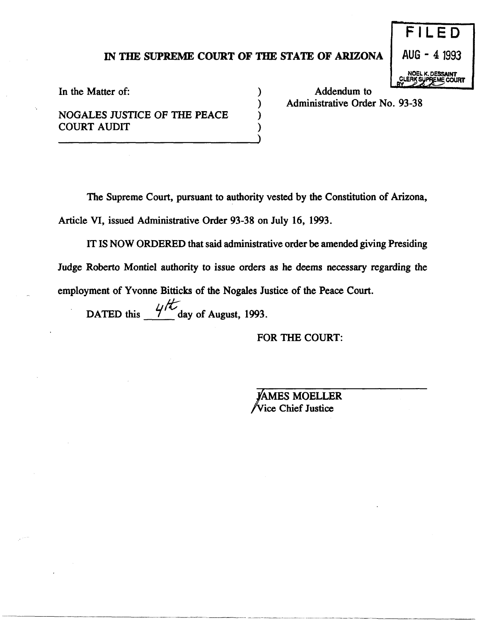## IN THE SUPREME COURT OF THE STATE OF ARIZONA

) ) ) ) AUG - 41993 DESSAINT

 $E D$ 

**LEME COURT** 

In the Matter of:  $\qquad \qquad$  )

NOGALES JUSTICE OF THE PEACE COURT AUDIT

Addendum to Administrative Order No. 93-38

The Supreme Court, pursuant to authority vested by the Constitution of Arizona,

Article VI, issued Administrative Order 93-38 on July 16, 1993.

IT IS NOW ORDERED that said administrative order be amended giving Presiding Judge Roberto Montiel authority to issue orders as he deems necessary regarding the employment of Yvonne Bitticks of the Nogales Justice of the Peace Court.

DATED this  $\frac{4}{5}$  day of August, 1993.

FOR THE COURT:

**AMES MOELLER Vice Chief Justice** 

--~- -------------------------- ------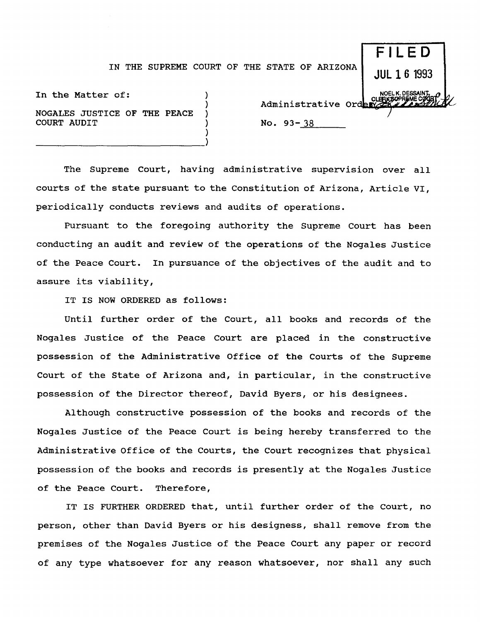## IN THE SUPREME COURT OF THE STATE OF ARIZONA

)

)

In the Matter of: NOGALES JUSTICE OF THE PEACE COURT AUDIT

----------------------------)

**JUL 16** 1993 NOELK.DESSANY<br>@CLERK5OPREMECO<br>Administrative Orden No. 93-38

F I LF D

The Supreme Court, having administrative supervision over all courts of the state pursuant to the Constitution of Arizona, Article VI, periodically conducts reviews and audits of operations.

Pursuant to the foregoing authority the Supreme Court has been conducting an audit and review of the operations of the Nogales Justice of the Peace Court. In pursuance of the objectives of the audit and to assure its viability,

IT IS NOW ORDERED as follows:

Until further order of the Court, all books and records of the Nogales Justice of the Peace Court are placed in the constructive possession of the Administrative Office of the Courts of the Supreme Court of the State of Arizona and, in particular, in the constructive possession of the Director thereof, David Byers, or his designees.

Although constructive possession of the books and records of the Nogales Justice of the Peace Court is being hereby transferred to the Administrative Office of the Courts, the Court recognizes that physical possession of the books and records is presently at the Nogales Justice of the Peace Court. Therefore,

IT IS FURTHER ORDERED that, until further order of the Court, no person, other than David Byers or his designess, shall remove from the premises of the Nogales Justice of the Peace Court any paper or record of any type whatsoever for any reason whatsoever, nor shall any such